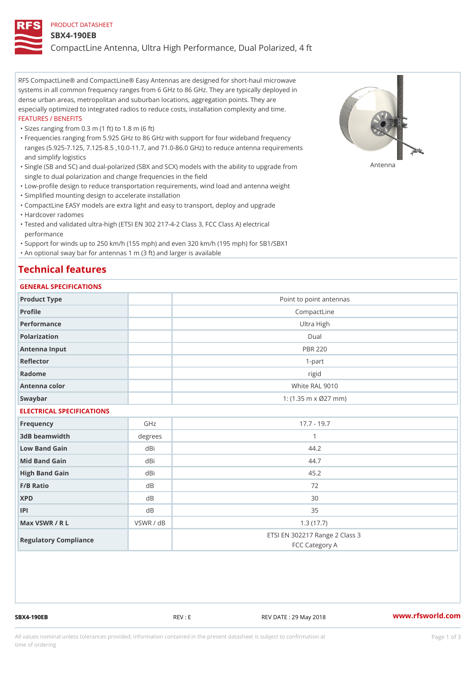#### PRODUCT DATASHEET

#### SBX4-190EB

CompactLine Antenna, Ultra High Performance, Dual Polarized, 4 ft

RFS CompactLine® and CompactLine® Easy Antennas are designed for short-haul microwave systems in all common frequency ranges from 6 GHz to 86 GHz. They are typically deployed in dense urban areas, metropolitan and suburban locations, aggregation points. They are especially optimized to integrated radios to reduce costs, installation complexity and time. FEATURES / BENEFITS

"Sizes ranging from 0.3 m (1 ft) to 1.8 m (6 ft)

Frequencies ranging from 5.925 GHz to 86 GHz with support for four wideband frequency " ranges (5.925-7.125, 7.125-8.5 ,10.0-11.7, and 71.0-86.0 GHz) to reduce antenna requirements and simplify logistics

"Single (SB and SC) and dual-polarized (SBX and SCX) models with the abili $\mathsf{f}_\mathsf{V}^{\eta}$ ttenup $\beta$ grade from single to dual polarization and change frequencies in the field

"Low-profile design to reduce transportation requirements, wind load and antenna weight

"Simplified mounting design to accelerate installation

 "CompactLine EASY models are extra light and easy to transport, deploy and upgrade "Hardcover radomes

Tested and validated ultra-high (ETSI EN 302 217-4-2 Class 3, FCC Class A) electrical " performance

 "Support for winds up to 250 km/h (155 mph) and even 320 km/h (195 mph) for SB1/SBX1 "An optional sway bar for antennas 1 m (3 ft) and larger is available

## Technical features

## GENERAL SPECIFICATIONS

| GENERAL SELGIFICATIONS    |                |                                                  |  |  |
|---------------------------|----------------|--------------------------------------------------|--|--|
| Product Type              |                | Point to point antennas                          |  |  |
| Profile                   |                | CompactLine                                      |  |  |
| Performance               |                | Ultra High                                       |  |  |
| Polarization              |                | $D$ ual                                          |  |  |
| Antenna Input             | <b>PBR 220</b> |                                                  |  |  |
| Reflector                 |                | $1-part$                                         |  |  |
| Radome                    |                | rigid                                            |  |  |
| Antenna color             |                | White RAL 9010                                   |  |  |
| Swaybar                   |                | 1: $(1.35 \, m \times 027 \, mm)$                |  |  |
| ELECTRICAL SPECIFICATIONS |                |                                                  |  |  |
| Frequency                 | GHz            | $17.7 - 19.7$                                    |  |  |
| 3dB beamwidth             | degrees        | $\mathbf{1}$                                     |  |  |
| Low Band Gain             | dBi            | 44.2                                             |  |  |
| Mid Band Gain             | dBi            | 44.7                                             |  |  |
| High Band Gain            | dBi            | 45.2                                             |  |  |
| F/B Ratio                 | d B            | 72                                               |  |  |
| <b>XPD</b>                | d B            | 30                                               |  |  |
| P                         | d B            | 35                                               |  |  |
| Max VSWR / R L            | VSWR / dB      | 1.3(17.7)                                        |  |  |
| Regulatory Compliance     |                | ETSI EN 302217 Range 2 Class 3<br>FCC Category A |  |  |

SBX4-190EB REV : E REV DATE : 29 May 2018 [www.](https://www.rfsworld.com)rfsworld.com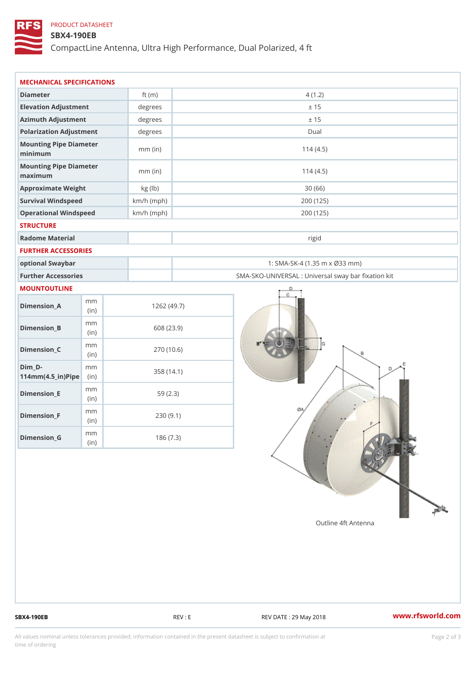## PRODUCT DATASHEET

## SBX4-190EB

CompactLine Antenna, Ultra High Performance, Dual Polarized, 4 ft

| MECHANICAL SPECIFICATIONS                                  |              |                                                   |
|------------------------------------------------------------|--------------|---------------------------------------------------|
| Diameter                                                   | ft $(m)$     | 4(1.2)                                            |
| Elevation Adjustment                                       | $degree$ :   | ± 15                                              |
| Azimuth Adjustment                                         | degrees      | ± 15                                              |
| Polarization Adjustment                                    | $degree$ :   | Dual                                              |
| Mounting Pipe Diameter<br>minimum                          | $mm$ (in)    | 114(4.5)                                          |
| Mounting Pipe Diameter<br>maximum                          | $mm$ (in)    | 114(4.5)                                          |
| Approximate Weight                                         | kg (lb)      | 30(66)                                            |
| Survival Windspeed                                         | $km/h$ (mph) | 200 (125)                                         |
| Operational Windspeed                                      | $km/h$ (mph) | 200 (125)                                         |
| <b>STRUCTURE</b>                                           |              |                                                   |
| Radome Material                                            |              | rigid                                             |
| FURTHER ACCESSORIES                                        |              |                                                   |
| optional Swaybar                                           |              | 1: SMA-SK-4 (1.35 m x Ø33 mm)                     |
| Further Accessories                                        |              | SMA-SKO-UNIVERSAL : Universal sway bar fixation l |
| MOUNTOUTLINE                                               |              |                                                   |
| m m<br>$Dimension_A$<br>(in)                               |              | 1262(49.7)                                        |
| m m<br>$Dimenision_B$<br>(in)                              |              | 608 (23.9)                                        |
| m m<br>$Dimension_C$<br>(i n)                              |              | 270 (10.6)                                        |
| $Dim_D -$<br>m m<br>$114$ m m $(4.5$ _ ir $)$ $R$ ii p $e$ |              | 358 (14.1)                                        |
| m m<br>$Dimension$ = E<br>(i n)                            |              | 59(2.3)                                           |
| m m<br>$Dimension_F$<br>(in)                               |              | 230(9.1)                                          |
| m m<br>$D$ imension $_G$<br>(in)                           |              | 186(7.3)                                          |

SBX4-190EB REV : E REV : REV DATE : 29 May 2018 WWW.rfsworld.com

All values nominal unless tolerances provided; information contained in the present datasheet is subject to Pcapgelio an atio time of ordering